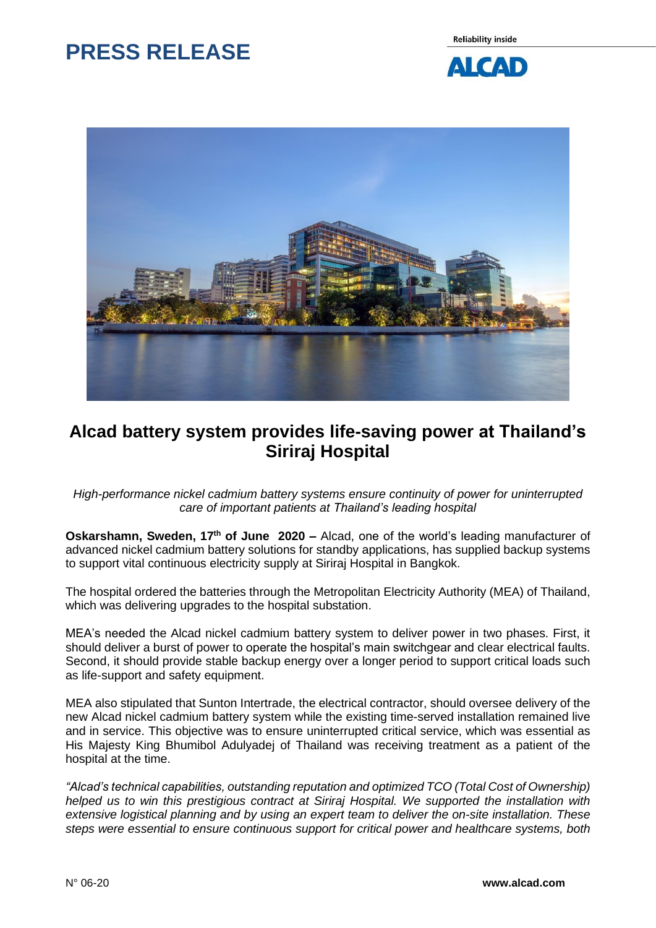# **PRESS RELEASE**

**Reliability inside** 





## **Alcad battery system provides life-saving power at Thailand's Siriraj Hospital**

### *High-performance nickel cadmium battery systems ensure continuity of power for uninterrupted care of important patients at Thailand's leading hospital*

**Oskarshamn, Sweden, 17th of June 2020 –** Alcad, one of the world's leading manufacturer of advanced nickel cadmium battery solutions for standby applications, has supplied backup systems to support vital continuous electricity supply at Siriraj Hospital in Bangkok.

The hospital ordered the batteries through the Metropolitan Electricity Authority (MEA) of Thailand, which was delivering upgrades to the hospital substation.

MEA's needed the Alcad nickel cadmium battery system to deliver power in two phases. First, it should deliver a burst of power to operate the hospital's main switchgear and clear electrical faults. Second, it should provide stable backup energy over a longer period to support critical loads such as life-support and safety equipment.

MEA also stipulated that Sunton Intertrade, the electrical contractor, should oversee delivery of the new Alcad nickel cadmium battery system while the existing time-served installation remained live and in service. This objective was to ensure uninterrupted critical service, which was essential as His Majesty King Bhumibol Adulyadej of Thailand was receiving treatment as a patient of the hospital at the time.

*"Alcad's technical capabilities, outstanding reputation and optimized TCO (Total Cost of Ownership) helped us to win this prestigious contract at Siriraj Hospital. We supported the installation with extensive logistical planning and by using an expert team to deliver the on-site installation. These steps were essential to ensure continuous support for critical power and healthcare systems, both*